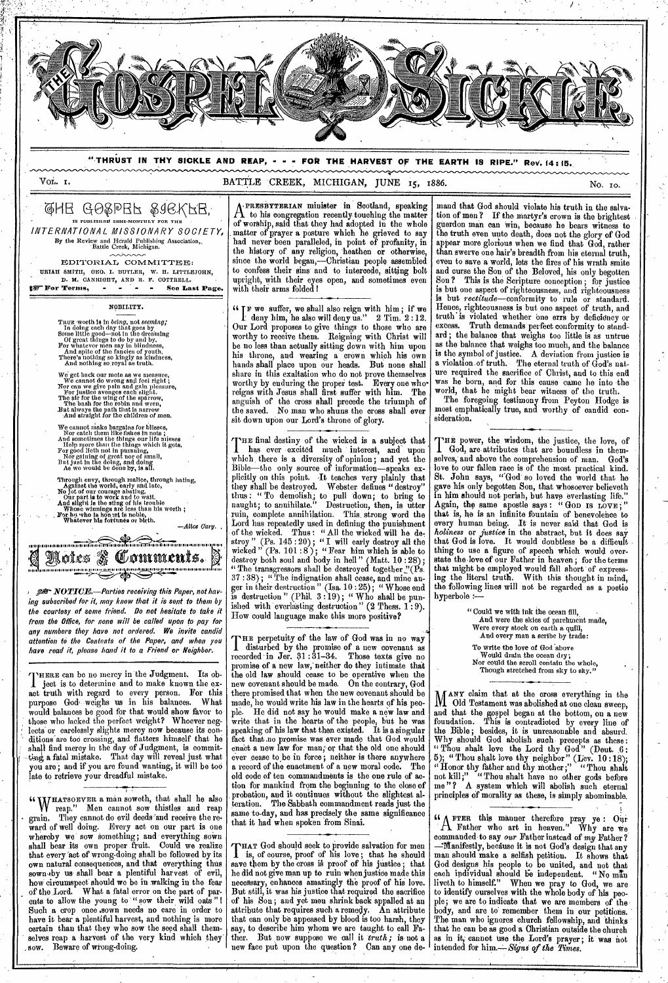

**"THRUST IN THY SICKLE AND REAP, - - - FOk THE HARVEST OF THE EARTH IS RIPE." Rev. 14 : 15.** 

Voi. I. BATTLE CREEK, MICHIGAN, JUNE 15, 1886.

# HR ROPEk PEIchsE,' IS PUBLISHED SEMI-MONTHLY FOR THE INTERNATIONAL MISSIONARY SOCIETY, By the Review and Herald Publishing Association,, 'Battle Creek, Michigan.

EDITORIAL COMMITTEE: URIAH SMITH, GEO. I. BUTLER, W. H. LITTLEJOHN,<br>
D. M. CANRIGHT, AND R. F. COTTRELL.<br>
129 For Terms, - - - - See Last Page.

# NOBILITY.

Thus worth is in being, not seeming;<br>In doing cach day that goes by<br>Some little good—not in the dreaming<br>Of great things to do by and by.<br>For whatever men say in blindness,<br>And spite of the fancies of youth.<br>There's nothi

We get back our mete as we measure,<br>We cannot do wrong and feel right;<br>Nor can we give pain and gain pleasure,<br>For justice avenges each slight.<br>The air for the wing of the sparrow,<br>The bash for the robin and wren,<br> $\Delta u d$ 

We cannot make bargains for blisses,<br>Nor catch then like fishes in nots<br>And sometimes the things our life nisses<br>Holp more than the things which it gets.<br>For good lieth not in pursuing,<br>Nor gaining of great nor of small,<br>B

Through envy, through malice, through hating,<br>Against the world, early and late,<br>No jot of our courage abating,<br>No jot of our courage abating,<br>Our part is to work and to wait.<br>And slight is the sting of his trouble<br>Whose w

*—Alice Cary.* 

**1111111111111.1.161. <sup>10</sup> 11 1111;t1t 111110111.1.111111 !IV. .11 .1111111.11.4111.1111111.**  Aotes & Comments. **1111111111111110111•11111.. 111111 111111 ,.1.,...1.1.1.1.1.1.1.1.1.111.1** 

 $\mathcal{D}$ : NOTICE.—Parties receiving this Paper, not having subscribed for it, may know that it is sent to them by the courtesy of some friend. Do not hesitate to take it from the Office, for none will be called upon to pay for any numbers they have not ordered. We invite candid attention to the Contents of the Paper, and when you have read it, please hand it to a Friend or Neighbor.

THERE can be no mercy in the outgined. Its ob-<br>ject is to determine and to make known the ex-THERE can be no mercy in the Judgment. Its obact truth with regard to every person. For this purpose God weighs us in his balances. What would balances be good for that would show favor to those who lacked the perfect weight? Whoever neglects or carelessly slights mercy now because its conditions are too crossing, and flatters himself that he shall find mercy in the day of Judgment, is committing a fatal mistake. That day will reveal just what you are ; and if you are found wanting, it will be too late to retrieve your dreadful mistake.

WHATSOEVER a man soweth, that shall he also<br>reap." Men cannot sow thistles and reap reap." Men cannot sow thistles and reap grain. They cannot do evil deeds 'and receive the regrain. They cannot do evil deeds and receive the reward of well doing. Every act on our part is one whereby we sow something; and everything sown shall bear its own proper fruit. Could we realize that every 'act of wrong-doing shall be followed by its own natural consequences, and that everything thus sown-by us shall bear a plentiful harvest of evil, how circumspect should we be in walking in the fear of the Lord. What a fatal error on the part of parents to allow the young to " sow their wild oats " I Such a crop once ,sown needs no care in order to have it bear a plentiful harvest, and nothing is more certain than that they who sow the seed shall themselves reap a harvest of the very kind which they sow. Beware of wrong-doing.

&PRESBYTERIAN minister in Scotland, speaking to his congregation recently touching the matter of worship, said that they had adopted in the whole . matter of prayer a posture which he grieved to say had never been paralleled, in point of profanity, in the history of any religion, 'heathen or otherwise, since the world began,—Christian people assembled to confess their sins and to intercede, sitting bolt upright, with their eyes open, and sometimes even with their arms folded I

**icF** we suffer, we shall also reign with him ; if we I deny him, he also will deny us." 2 Tim. 2:12. Our Lord proposes to give things to those who are worthy to receive them. Reigning with Christ will be no less than actually sitting down with him upon his throne, and wearing a crown which his own hands shall place upon our heads. But none shall share in this exaltation who do not prove themselves worthy by enduring the proper test. Every one who• reigns with Jesus shall first suffer with him. The anguish of the cross shall precede the triumph of the saved. No man who shuns the cross shall ever sit down upon our Lord's throne of glory.

THE final destiny of the wicked is a subject that<br>has ever excited much interest, and upon has ever excited much interest, and upon which, there is a diversity of opinion; and yet the Bible—the only source of information—speaks explicitly on this point. It teaches very plainly that they shall be destroyed. Webster. defines " destroy" thus : " To demolish,; to pull down; to bring to naught; to annihilate." Destruction, then, is utter ruin, complete annihilation. This\_ strong word the Lord has repeatedly used in defining the punishment of the wicked. Thus : " All the wicked will he de, stroy " (Ps. 145 : 20); " I will early destroy all the wicked "  $(Ps. 101:8)$ ; " Fear him which is able to destroy both soul and body in hell " (Matt. 10 : 28); " The transgressors shall be destroyed together  $\Gamma$ (Ps. 37 : 38); " The indignation shall cease, and mine anger in their destruction " (Isa. 10 : 25); " Whose end is destruction " (Phil. 3 :19); " Who shall be punished with everlasting destruction" (2 Thess. 1:9). How could language make this more positive?

How could language make this more positive?<br>
THE perpetuity of the law of God was in no way<br>
I disturbed by the promise of a new covenant as recorded in Jer. 31 :31-34. Those texts give no promise of a new law,'neither do they intimate that the old law should cease to be operative when the new covenant should be made. On the contrary, God there promised that when the new covenant should be made, he would write his law in the hearts of his peo-<br>ple. He did not say he would make a new law and He did not say he would make a new law and write that in the hearts of the people, but he was speaking of his law that then existed. It is a singular speaking of his law that then existed. It is a singular fact that no promise was ever made that God would enact a new law for man; or that the old one should ever cease to be in force ; neither is there anywhere a record of the enactment of a new moral code. The old code of ten commandments is the one rule of action for mankind from the beginning to the close of probation, and it continues without the slightest alteration. Tile Sabbath commandment reads just the same to-day, and has precisely the same significance that it had when spoken from Sinai.

THAT God should seek to provide salvation for men is, of course, proof of his love; that he should save them by the cross is proof of his justice ; that he did not give man up to ruin when justice made this necessary, enhances amazingly the proof of his love. But still, it was his justice that required the sacrifice of his Son ; and yet men shrink back appalled at an attribute that requires such a remedy. An attribute that can only be appeased by blood is too harsh, they say, to describe him whom we are taught to call Father. But now suppose we call it  $truth$ ; is not a new face put upon the question ? Can any one de-

mand that God should violate his truth in the salvation of men? If the martyr's crown is the brightest giterdon man can win; because he bears witness to the truth even unto death, does not the glory of God appear more glorious when we find that God, rather than swerve one hair's breadth from his eternal truth, even to save a world, lets the fires of his wrath smite and curse the Son of the Beloved, his only begotten Son ? This is the Scripture conception ; for justice is but one aspect of righteousness, and righteousness is but *rectitude—conformity* to rule or standard. Hence, righteousness is but ono aspect of truth, and truth' is violated whether one errs by deficiency or excess. Truth demands perfect conformity to standard ; the balance that weighs too little is as untrue as the balance that weighs too much, and the balance is the symbol of justice. A deviation from justice is a violation.of truth. The eternal truth of God's nature required the sacrifice of Christ, and to this end was he born, and for this cause came he into the world, that he might bear witness of the truth.

The foregoing testimony from Peyton Hodge is most emphatically true, and worthy of candid consideration.

THE power, the wisdom, the justice, the love, of<br>I God, are attributes that are boundless in them-God, are attributes that are boundless in themselves, and above the comprehension of man. God's love to our fallen race is of the most practical kind. St. John says, "'God so loved the world that he gave his only begotten Son, that whosoever believeth in him should not perish, but have everlasting life." Again, the same apostle says: "GoD IS LOVE;" that is, be is an infinite fountain of benevolence to every human being. It is never said that God is *holiness* or *justice* in the abstract, but it does say that God is love. It would doubtless be a difficult thing to use a figure of speech which would overstate the love of our Father in heaven ; for the terms that might be employed would fall short of' expressing the literal truth. With this thought in mind, the following lines will not be regarded as a poetic hyperbole :—

> " Could we with ink the ocean fill, And were the skies of parchment made, Were every stock on earth a quill, And every man a scribe by trade: To write the love of God 'above Would drain the ocean dry;

Nor could the scroll contain the whole, Though stretched from sky to sky."

MANY claim that at the cross everything in the M Old Testament was abolished at one clean sweep, .M Old Testament was abolished at one clean sweep, and that the gospel began at the bottom, on a new foundation. This is contradicted by every line of the Bible ; besides, it is unreasonable and absurd. Why should God abolish such precepts as these : " Thou shalt love the Lord thy God" (Deut.  $6:$  $5)$ ; "Thou shalt love thy neighbor" (Lev. 10:18); " Honor thy father and thy mother;" " "Thou shalt not kill;" "Thou shalt have no other gods before me"? A system which will abolish such eternal me"? A system which will abolish such eternal principles of morality as these, is simply abominable.

**itA** FTER this manner therefore pray ye :  $A$  Father who art in heaven." Why are We commanded to say *our* Father instead of *my* Father? —\*Manifestly, because it is not God's design that any man should make a selfish petition. It shows that God designs his people to be united, and not that each individual should be independent. " No min liveth to himself." When we pray to God, we are to identify ourselves with the whole body of his people; we are to indicate that we are members of the body, and are to remember them in our petitions. The man who ignores church fellowship, and thinks that he can be as good a Christian outside the church as in it, cannot use the Lord's prayer; it was not intended for *him.--Signs of the* Times.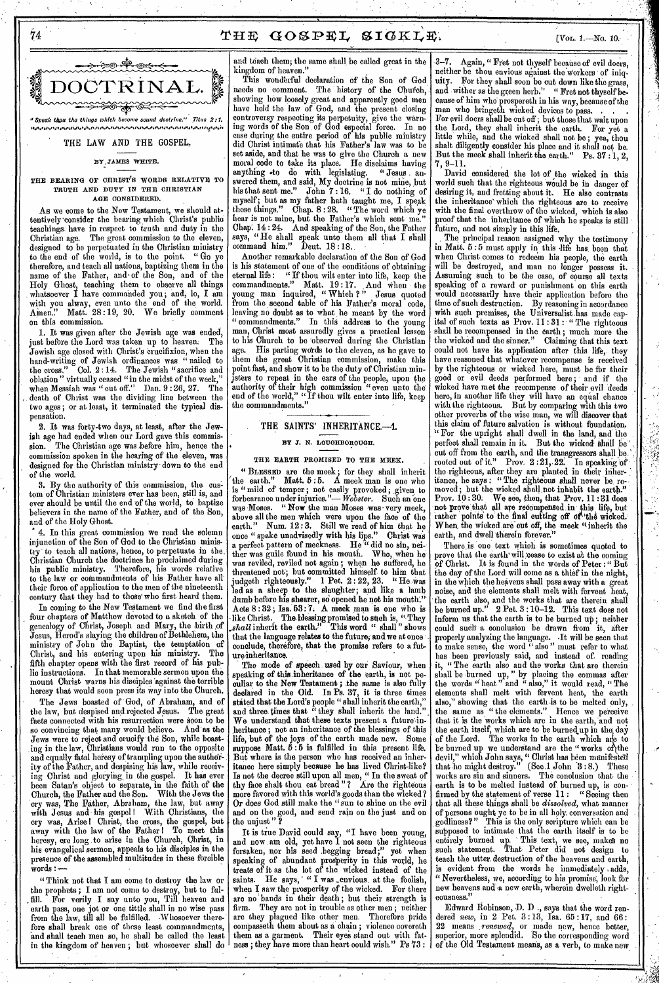



# BY, JAMES WHITE.

#### THE BEARING OF CHRIST'S WORDS RELATIVE TO TRUTH AND DUTY IN THE CHRISTIAN AGE CONSIDERED.

As we come to the New Testament, we should attentively consider the bearing which Christ's public teachings have in respect to truth and duty in the Christian age. The great commission to the eleven, The great commission to the eleven, designed to be perpetuated in the Christian ministry<br>to the end of the world, is to the point. "Go ye to the end of the world, is to the point. therefore, and teach all nations, baptizing them in the the Father, and of the Son, and of the Holy Ghost, teaching them to observe all things whatsoever I have commanded you ; and, lo, I am with you alway, even unto the end of the world. Amen." Matt. 28:19, 20. We briefly comment on this commission.

1. It was given after the Jewish age was ended, just before the Lord was taken up to heaven. The Jewish age closed with Christ's 'crucifixion, when the hand-writing of Jewish ordinances was " nailed to the cross," Col. 2 :14. The Jewish "sacrifice and oblation " virtually ceased "in the midst of the week," when Messiah was " cut off." Dan. 9 :26, 27. The when Messiah was " cut off." Dan. 9:26, 27. The death of Christ was the dividing line between the two ages; or at least, it terminated the typical dispensation.

2. It was forty-two days, at least, after the Jewish age had ended when our Lord gave this commission. The Christian age was before him, hence the commission spoken in the hearing of the eleven, was designed for the Christian ministry • down to the end of the world.

3. By the authority of this commission, the. cuetom of Christian ministers ever has been, still is, and ever should be until the end of the world, to baptize believers in the name of the Father, and of the Son, and of the Holy Ghost.

• 4. In this great commission we read the solemn injunction of the Son of God to the Christian ministry to teach all nations, hence, to perpetuate in the Christian Church the doctrines he proclaimed during his public ministry. Therefore, his words relative to the law or commandments of his Father have all' their force of' application to the men of the nineteenth century that they had to those who first heard them.

In coming to the New Testament we find the first four chapters of Matthew devoted to a sketch of the genealogy of Christ, Joseph and Mary, the birth of Jesus, Herod's slaying the children of Bethlehem, the ministry of John the Baptist, the temptation of Christ, and his entering upon his ministry. The fifth chapter opens with the first record of his publie instructions. In that memorable sermon upon the mount Christ warns his disciples 'against the terrible heresy that would soon press its way into the Church.

The Jews boasted of God, of Abraham, and of the law, but despised and rejected Jesus. The great facts connected with his resurrection wore Soon to be so convincing that many would believe. And'as the Jews wore to reject and crucify the Son, while boasting in the law, Christians would run to the opposite and equally fatal heresy of trampling upon the author-<br>ity of the Father, and despising his law, while receivthe Father, and despising his law, while receiv-<br>brist, and, clorying in the gosnel. Tt has ever ing Christ and glorying in the gospel. been Satan's object to separate, in the faith of the Church, the Father and the Son. With the Jews the cry was, The Father, Abraham, the law, but away with Jesus and his gospel! With Christians, the cry was, Arise I Christ, the cross, the gospel, but away with the law of the Father I To meet this heresy, ere long .to arise in the Church, Christ, in his evangelical sermon, appeals to his disciples in the presence of the assembled multitudes in these forcible words :—

" Think not that I am come to destroy the law or the prophets ; I am not come to destroy, but to ful- , fill. For verily I say unto you, Till heaven and earth pass, one jot or one tittle shall in no wise pass from the law, till all be fulfilled. Whosoever therefore shall break one of these least commandments, and shall teach men so, he shall be called the least in the kingdom of heaven ; but whosoever shall do

and teach them; the same shall be called great in the kingdom of heaven."

This wonderful declaration of the Son of God needs no comment. The history of the Church, showing how loosely great and apparently good men have held the law of God, and the present closing controversy respecting its perpetuity, give the warning words of the Son of God especial force. In no case during the entire period of his public ministry did Christ intimate that his Father's law was to be set aside, and that he was to give the Church a new moral code to take its place. He disclaims having anything to do with legislating. "Jesus answered them, and said, My doctrine is not mine, but his that sent me." John 7 :16. "I do nothing of myself; but as my father hath taught me, I speak<br>these things." Chap. 8:28. "The word which ye Chap. 8:28. "The word which ye hear is not mine, but the Father's which sent me."<br>Chap. 14:24. And speaking of the Son, the Father And speaking of the Son, the Father says, "He shall speak unto them all that I shall command him." Dent. 18 :18.

Another remarkable declaration of the Son of God is his statement of one of the conditions of obtaining eternal life: " If thou wilt enter into life, keep the commandments." Matt. 19 : 17. And when the young man inquired, " Which ? " Jesus quoted from the second table of his Father's moral code, leaving no doubt as to what, he meant by the word " commandments." In this address to the young "commandments." In this address to the young<br>man, Christ most assuredly gives a practical lesson to his Church to be 'observed during the Christian age. His parting words to the eleven, as he gave to them the great Christian commission, make this them the great Christian commission, make this point fast, and show it to be the duty of Christian minpoint fast, and snow it to be viry and you be sters to repeat in the ears of the people, upon the mathematic stere in the their high commission "even unto the authority of their high commission " even unto the end of the world," " If thou wilt enter into life, keep the commandments."

# THE SAINTS' INHERITANCE.-- 1.

### BY J. N. LOUGHBOROUGH.

# THE EARTH PROMISED TO THE MEEK.

" BLESSED are the meek; for they shall inherit the earth." Matt. 5:5. A meek man is one who the earth." Matt.  $5:5$ . A meek man is one who is " mild of temper; not easily provoked; given to forbearance under injuries."— *Webster.* Such an 'one was Moses. " Now the man Moses was -very meek, above all the men which were upon the face of the earth." Num. 12:3. Still we read of him that he once " spake unadvisedly with his lips." Christ was a perfect pattern of meekness. He<sup>7</sup> did no sin, neither was guile found in his mouth. Who, when he was reviled, reviled not again ; when he suffered, he threatened not; but committed himself to him that judgeth righteously." 1 Pet. 2 : 22, 23. " He was udgeth righteously." 1 Pet. 2:22, 23. "He was dumb before his shearer, so opened he not his mouth." Acts 8 : 32 ; Isa. 53: 7. A meek man is one who is like Christ. The blessing promised to such is, "They "shall inherit the earth." This word " shall" shows that the language relates to the future; and we at once conclude, therefore, that the promise refers to a future inheritance.

The *mode of* speech used by our *Saviour,* when peaking of this inheritance of the earth, is not peculiar to the New Testament ; .the same is also fully deolared in the Old. In Ps. 37, it is three times stated that the Lord's people "shall inherit the earth," and three times that  $\alpha$  they shall inherit the land." We understand that these texts present a future inheritance ; not an inheritance of the blessings of this life, but of the joys of the earth made new. Some suppose Matt.  $5:5$  is fulfilled in this present life. But where is the person who has received an inheritance here simply because he has lived Christ-like? Is not the decree still upon all men, " In the sweat of thy face shalt thou eat bread " ? Are the righteous more favored with this world's goods than the wicked ?<br>Or does God still make the "sun to shine on the evil Or does God still make the "sun to shine on the evil and on the good, and send rain on the just and on the unjust" ?

It is true David could say, "I have been young, and now am old, yet have I not seen the righteous forsaken, nor his seed .begging bread ;" yet when speaking of abundant prosperity in this world, he treats of it as the lot of the wicked instead of the saints. He says, " I was envious at the foolish, when I saw the prosperity of the wicked. For there are no bands in their death; but their strength is<br>firm. They are not in trouble as other men; neither They are not in trouble as other men; neither are they plagued like other men. Therefore pride compasseth them about as a chain; violence covereth them as a garment. Their eyes stand out with fatness ; they have more than heart could wish." Ps 73 :

3-7. Again, " Fret not thyself because of evil doers, neither be thou envious against the'workers of iniquity. For they shall soon be cut down like the grass, and wither as the green herb." " Fret not thyself because of him who prospereth in his way, because of the man who bringeth wicked devices to pass.

For evil doers shall be cut off; but those that wait upon the Lord, they shall inherit the earth. For yet a little while, and the wicked shall not be ; yea, thou shalt diligently consider his place and it shall not be. But the meek shall inherit the earth." Ps.  $37:1, 2$ ,

David considered the lot of the wicked in this world such that the righteous would be in danger of desiring it, and fretting about it. He also contrasts the inheritance' which the righteous are to receive with the final overthrow of the wicked, which is also proof that the inheritance of which he speaks is still future, and not simply in this life.

The principal reason assigned why the testimony in Matt. 5 :5 must apply in this -life has, been that when Christ comes to redeem his people, the earth will be destroyed, and man no longer possess it. Assuming such to be the case, of course all texts speaking of a reward or punishment on this earth would necessarily have their application before the time of such destruction. By reasoning in accordance with such premises, the Universalist has made capital of such texts as Prov. 11 : 31 : " The righteous shall be recompensed in the earth ; much more the the wicked and the sinner." Claiming that this text the wicked and the sinner." Claiming that this text could not have its application after this life, they have reasoned that whatever recompense is received by the righteous or wicked here, must be for their good or evil deeds performed here; and if the wicked have met the recompense of their evil deeds here, in another life they will have an equal chance with the righteous. But by comparing with this two other proverbs of the wise man, we will discover that this claim of future salvation is without foundation. " For the upright shall dwell in the land, and the perfect shall remain in it. But the wicked shall be cut off from the earth, and the transgressors shall be rooted out of it." Prov.  $2:21, 22.$  In speaking of rooted out of it." Prov.  $2:21, 22$ . In speaking of the righteous, after they are planted in their inheritance, he says : " The righteous shall never be. removed; but the wicked shall not inhabit the earth." Prov. 10 : 30. We see, then, that Prov. 11 : 31 does not prove that all are reoompensed in this life, but rather points to the final cutting off of the wicked. When, the wicked.are cut off, the meek "inherit the earth, and dwell therein forever."

Ź,

There is one text which is sometimes quoted to prove that the earth'will cease to exist at the coming<br>of Christ. It is found in the words of Peter : " But It is found in the words of Peter : " But the day of the Lord will come as a thief in the night, in the which the heavens shall *pass* away with a great noise, and the elements shall melt with fervent heat, the earth also, and the works that are therein shall be burned up."  $2 \text{ Pet. } 3:10-12$ . This text does not inform us that the earth is to be burned up; neither could such a conolusion be drawn from it, after could such a conclusion be drawn from properly analyzing the language. .It will be seen that to make sense, the word " also " must refer to what has been previously said, and instead of reading it, "The earth also and the works that are therein<br>shall be burned up, " by placing the commas after<br>the words "heat" and " also," it would read, "The shall be burned up, " by placing the commas after the words "heat " and " also," it would read, " The elements shall melt with fervent heat, the earth also," showing that the earth is to be melted only, the same as "the elements." Hence we perceive that it is the works which are in the earth, and not the earth itself, which are to be burned up in the day of the Lord. The works in the earth which are to  $\epsilon \lll d$ be burned up we understand are the "works of the devil," which John says, " Christ has been'manifested that he might destroy." (See  $1$  John  $3:8$ .) These works are sin and sinners. The conclusion that the earth is to be melted instead of burned up, is confirmed by the statement of verse 11: "Seeing then that all these things shall be *dissolved,* what manner of persons ought ye to be in all holy, conversation and godliness?" This is the only scripture which can be supposed to intimate that the earth itself is to be entirely burned up. This text, we see, makes no such statement. That Peter did not design to teach the utter, destruction of the heavens and earth, is evident from the words he immediately adds, "Nevertheless, we, according to his promise, look for new heavens and a new earth, wherein dwelleth righteousness."

Edward Robinson, D. D ., says that the word rendered *new,* in 2 Pet. 3 :13, Isa. 65 :17, and 66: 22 means *renewed,* or made new, hence better, superior, more splendid. Bo the corresponding word of the Old Testament means, as a verb, to make new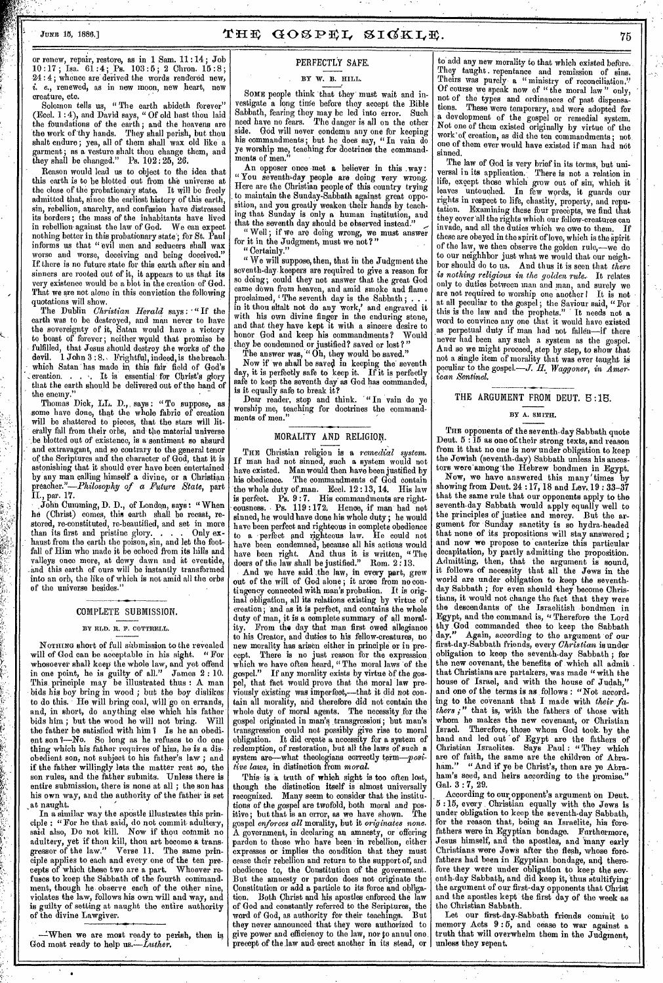# JUNE 15, 1886.]  $THF GOSPEL SIGKLE$ ,  $310K$

or renew, repair, restore, as in 1 Sam. 11 :14; Job  $10:17$ ; Isa.  $61:4$ ; Ps.  $103:5$ ; 2 Chron.  $15:8$ ; -24 : 4 ; whence are' derived the words rendered new, i. *e.,* renewed, as in new moon, new heart, new creature, etc.

Solomon tells us, "The earth abideth forever" (Eccl. 1 : 4), and David says, " Of old hest thou laid the foundations of the earth; and the heavens are 'the work of thy hands. They shall perish, but thou shalt endure ; yea, all of them shall wax old like a garment; as a vesture shalt thou change them, and they shall be changed." Ps.  $102:25, 26.$ 

Reason would lead us to object to the idea that this earth is to be blotted out from the universe at the close of the probationary state. It will be freely admitted that, since the earliest history of this earth, sin, rebellion, anarchy, and confusion have distressed its borders; the mass of the inhabitants have lived<br>in rebellion against the law of God. We can expect in rebellion against the law of God. nothing better in this probationary state; for St. Paul informs us that " evil men and seducers shall wax worse and worse, deceiving and being deceived." If. there is no future state for this earth after sin and sinners are rooted out of it, it appears to us that its very existence would be a blot in the creation- of God. That we are not alone in this conviction the following quotations will show.

The Dublin *Christian Herald* says: "If the earth was to be destroyed, and man never to have the sovereignty of it, Satan would have a victory to boast of forever ; neither would that promise be fulfilled, that Jesus should destroy the works of the devil. 1 John 3:8. Frightful. indeed is the breach 1 John 3 : 8. Frightful, indeed, is the breach which Satan has made in this fair field of God's creation. . . . It is essential for Christ's glory creation. . . . It is essential for Christ's glory that the earth should be delivered out of the hand of the enemy.

Thomas Dick, LL. D.,, says : "To suppose, as some have done, that the whole fabric of creation will be shattered to pieces, that the stars will lit erally fall from their orbs, and the material universe be blotted out of existence, is a sentiment so absurd and extravagant, and so contrary to the general tenor of the Scriptures and the character of God, that it is astonishing that it should ever have been entertained by any man calling himself a divine, or a Christian preacher."—Philosophy *of a Future State,* part  $p$ reacher." $\overline{\text{II}}$ ., par. 17.

,John Cumming, D. D., of London, says : " When ho (Christ) comes, this earth shall be recast, restored, re-constituted, re-beautified, and set in more than its first and pristine glory. • . . Only exhaust from the earth the poison, sin, and let the footfall of Him who made it be echoed from its hills and valleys once more, at dewy dawn and at eventide, and this earth of ours will be instantly transformed into an orb, the like of which is not amid all the orbs of the universe besides."

a S

Ŕ,

# COMPLETE SUBMISSION.

#### BY ELD. R. F. COTTRELL.

NOTHING short of full submission to the revealed will of God can be acceptable in his sight. " For whosoever shall keep the whole law, and yet offend in one point, ho is guilty of all." James 2 : 10. This, principle may be illustrated thus : A man - bids his boy bring in wood ; but the boy dislikes' to do this. • He will bring coal, will go on errands, and, in short, do anything else which his father bids him : but the wood he will not bring. Will bids him; but the wood he will not bring. the father be satisfied with him ? Is he an obedient son I—No. So long as he refuses to do one thing which his father requires of him, he is a disobedient son, not subject to his father's law ; and if the father willingly lets the matter rest so, the son rules, and the father submits. Unless there is entire submission, there is none at all ; the son has his own way, and the authority of the father is set at naught.

In a similar way the apostle illustrates this principle : "For he that said, do not commit adultery, said also, Do not kill. Now if thou commit no said also, Do not kill. Now if thou commit no adultery, yet if thou kill, thou art become a transgressor of the law." Verse 11. The same principle applies to each and every one of the ten pre-<br>cents of which these two are a part. Whoever recepts of which these two are a part. fuses to keep the Sabbath of the fourth commandment, though he. observe each of the other nine, violates the law, follows his own will and way, and is guilty of setting at naught the entire authority of the divine Lawgiver.

-When we are most ready to perish, then is God most ready to help us.<sup>-</sup>*Luther* 

# PERFECTLY SAFE.

# BY W. B. HILL.

SOME people think 'that they' must wait and investigate a long time before they accept the Bible Sabbath, fearing they may be led into error. Such need have no fears. The danger is all on the other side. God will never condemn any one for keeping his commandments ; but he does say, " In vain do ye worship me, teaching for doctrines the commandments of men.

An opposer once met a believer in this way:<br>"You seventh-day people are doing very wrong. Here are the Christian people of this country trying to maintain the Sunday-Sabbath against great opposition, and you greatly weaken their hands by teaching that Sunday is only a human institution, and that the seventh day should be observed instead. " " Well; if we are doing wrong, we must answer

for it in the Judgment, must we not?

" Certainly.'

" We will suppose, then, that in the Judgment the seventh-day keepers are required to give a reason for so doing; could they not answer that the great God came down from heaven, and amid smoke and flame proclaimed, ' The seventh day is the Sabbath ; . . . in it thou shalt not do any work,' and engraved it with his own divine finger in the enduring stone, and that they have kept it with a sincere desire to honor God and keep his commandments? Would they be condemned or justified? saved or lost ? "

The answer was, " Oh, they would be saved."

Now if we shall be saved in keeping the' seventh day, it is perfectly safe to keep it. If it is perfectly day, it is perfectly safe to keep it. If it is perfectly<br>safe to keep the seventh day as God has commanded, is it equally *safe* to break it?

Dear reader, stop and think. '" In vain do ye worship me, teaching for doctrines the commandments of men."

## MORALITY AND RELIGION.

THE Christian religion is *a remedial system.*  If man had not sinned, such a system would not have existed. Man would then have been justified by his obedience. The commandments of God contain the whole duty of man. Eccl. 12:13, 14. His law is perfect. Ps. 9 : 7. His commandments are righteousness. Ps. 119:172: Hence, if man had not sinned, he would have done his whole duty ; he would have been perfect and righteous in complete obedience to a perfect and righteous law. He could not have been condemned, because all his actions would have been right. And thus it is written, " The doers of the law shall be justified." Rom. 2 :13.

And we have said ,the law, *in* every part, grew out of the will of God alone ; it arose from no contingency connected with man's probation. It is original obligation, all its relations existing by virtue of creation; and as it is perfect, and contains the whole duty of man, it is a complete summary of all morality. From the day that man first owed allegiance to his Creator, and duties to his fellow-creatures, no new morality has arisen either in principle or in precept. There is no just reason for the expression which we have often heard, " The moral laws 'of the gospel." If any morality exists by virtue of the gosgospel." If any morality exists by virtue of the gos-<br>pel, that fact would prove that the moral law previously existing was imperfect,—that it did not contain all morality, and therefore did not contain the whole duty of moral agents. The necessity for the gospel originated in man's .transgression; but man's transgression could not possibly give rise to moral obligation. It did create a necessity for a system of redemption, of restoration, but all the laws of such a system are—what theologians correctly *term—positive laws,* in distinction from *moral.* 

This is a truth of which sight is too often lost, though the distinction itself is almost universally recognized. Many seem to consider that the institutions of the gospel are twofold, both moral and positive; but that is an error, as we have shown. The gospel *enforces all* morality, but it *originates none.*  A government, in declaring an amnesty, or offering pardon to those who have been in rebellion, either expresses or implies the condition that they must cease their rebellion and return to the support of, and obedience to, the Constitution of the government. But the amnesty or pardon does not originate the Constitution or add a particle to its force and obligation. Both Christ and his apostles enforced the law of God and constantly referred to the Scriptures, the word of God, as authority for their teachings. they never announced that they were authorized to give power and efficiency to the law, nor to annul one precept of the, law and,erect another in its stead, or

to' add any new morality to that which existed before. They taught. repentance and remission of sins. Theirs was purely a " ministry of reconciliation." Of course we speak now of " the moral law " only, not of the types and ordinances of past dispensa-These were temporary, and were adopted for *a* development of the gospel or remedial system. Not one of them existed originally by virtue of the work'of creation, as did the ten commandments; not. one of them ever would have existed if man had not sinned.

The law of God is very brief in its terms, but universal in its application.. There is not a relation in life, except those which grow out of sin, which it leaves untouched. In few words, it guards our rights in respect to life, chastity, property, and reputation. Examining these four precepts, we find that they cover all the rights which our fellow-creatures can invade, and all the duties which we owe to them. If these are obeyed in the spirit of love, which is the spirit of the law, we then observe the golden rule,—we do to our neighhbor just what we would that our neighbor should do to us. And thus it is seen that *there is nothing religious in the golden rule.-* It relates only to duties between man and man, and surely we are not required to worship one another ! It is not at all peculiar to the gospel; the Saviour said, "For this is the law and the prophets." " It needs not *a*  word to convince any one that it would have existed as perpetual duty if man had not fallen-if there never had been any such a system as the gospel. And so we might proceed, step by step, to show that not a single item of morality that was ever taught is peculiar to the gospel.—*J. H. Waggoner*, in *American, Sentinel.* 

# THE ARGUMENT FROM DEUT. 5:15.

# By A. SMITH.

THE opponents of the seventh-day Sabbath quote Deut. 5 :15 as one of their strong texts, and reason from it that no one is now under obligation to keep the Jewish (seventh-day) Sabbath unless his ancestors were among 'the Hebrew bondmen in Egypt.

Now, we have answered this many times showing from Deut. 24 : 17, 18 and Lev. 19 : 33-37 that the same rule that our opponents apply to the seventh-day Sabbath would apply equally well to the principles of justice and mercy. But the argument for Sunday sanctity is so hydra-headed that none of its propositions will stay answered ; and now we propose to cauterize this particular decapitation, by partly admitting the proposition. Admitting, then, that the argument is sound, it follows of necessity that all the Jews in the world are under obligation to keep the seventhday Sabbath ; for even should they become Christians, it would not change the fact that they were the descendants of the Israelitish bondmen in Egypt, and the command is, "Therefore the Lord thy God commanded thee to keep the Sabbath day." Again, according to the argument of our day." Again, according to the argument 'of our first-day-Sabbath friends, every *Christian* is under obligation to keep the seventh-day Sabbath ; for the new covenant, the benefits of which all admit that Christians are partakers, was made "with the house of Israel, and with the house of Judah," and one of the terms is as follows : "Not according to the covenant that I made with *their fathers ;"* that is, with the fathers of those with whom he makes the new covenant, or Christian Israel. Therefore, those whom God took by the hand and led out of Egypt are the fathers of Christian Israelites. Says Paul : "They which are of faith, the same are the children of Abraham." "And if ye be Christ's, then are ye Abraham." "And if ye be Christ's, then are ye Abraham's seed, and heirs according to the promise." Gal. 3 : 7, 29.

According to our opponent's argument on Deut. 5 :15, every Christian equally with the Jews is under obligation to keep the seventh-day Sabbath, for the reason that, being an Israelite, his forefathers were in Egyptian bondage. Furthermore, Jesus himself, and the apostles, and many early Christians were Jews after the flesh, whose forefathers had been in Egyptian bondage, and therefore they were under obligation to keep the seventh-day Sabbath, and did keep it, thus stultifying• the argument of our first-day opponents that Christ and the apostles kept the first day of the week as the. Christian Sabbath.

Let our first-day-Sabbath friends commit to memory Acts 9:5, and cease to war against a truth that will overwhelm them in the Judgment, unless they repent.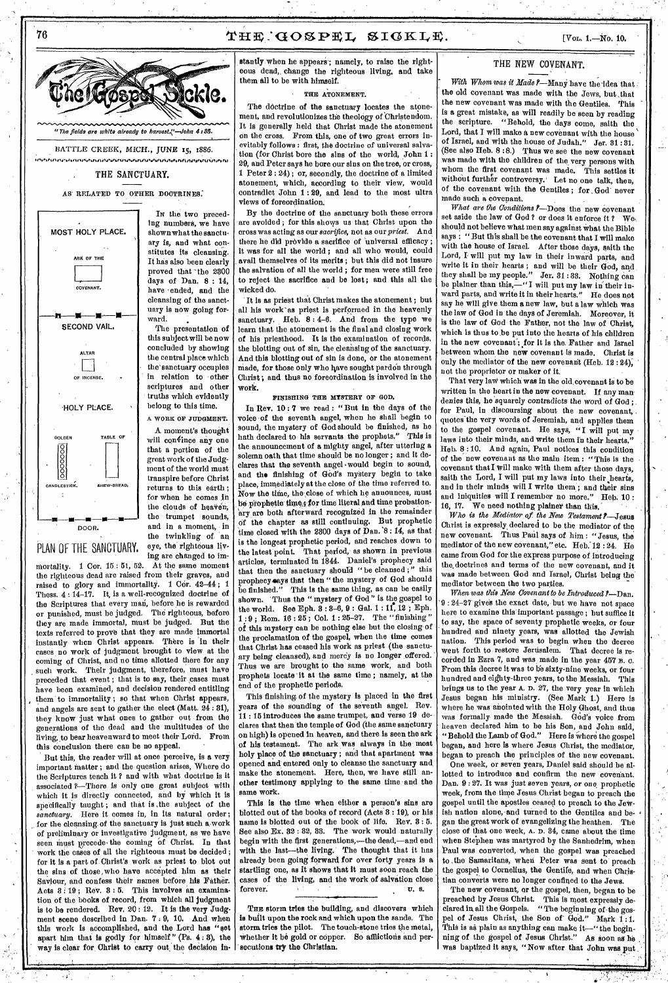**76 for a set of**  $\mathbf{Y} \mathbf{H} \mathbf{E} \cdot \mathbf{G} \mathbf{O} \mathbf{S} \mathbf{P} \mathbf{E} \mathbf{L}$  **<b>SIGKLE**. **Example 1. For a set of**  $\mathbf{Y}_{\text{OL}}$  **1.**  $-\mathbf{N_0}$  10.

"The fields are white already to harvest,"-John 4:85 BATTLE CREEK, MICH., JUNE 15, 1886.

# - ,,,,,,,, **l%I** *,***d"04** *,***1** *,,,,,,,,, ,,,,,* **4** *,,,,,, ,,,,,* **1"1***,***14** *,,,,,,,* **1***,***4,040** *,,,,,,, ,,,,,,,,,* **<sup>I</sup>** THE SANCTUARY.

AS RELATED TO OTHER DOCTRINES:

ward.

Ix the two preceding numbers, we have shown what the sanctuary is, and what constitutes its cleansing. It has also been clearly proved that -the 2300 days of Dan. 8 : 14, have ended, and the cleansing of the sanctuary is now going for-

The presentation of this subject will be now concluded by showing the central place which the'sanctuary occupies in relation to •other scriptures and other truths which evidently belong to this time. **A** WORK OF JUDGMENT. A moment's thought

that a portion of the great work of the Judgment of the world must transpire before Christ

for when he comes in the clouds of heaven. the trumpet sounds, and in a moment, in the twinkling of 'an eye, the righteous liv-

GOLDEN TABLE OF will convince any one 1r 8l CANDLESTICK. SHEW-BREAD. returns to this earth ; --1111--1111--11 SECOND VAIL, ALTAR OF INCENSE HOLY PLACE. MOST HOLY PLACE. ARK OF THE COVENANT. SHEW-DREAD. DOOR.

PLAN OF THE SANCTUARY.

ing are changed to immortality.  $1 \text{ Cor. } 15 : 51, 52.$ the righteous dead are raised from their graves, and raised to glory and immortality. 1 Cor. 42-44; 1 Thess. 4 : 14-17. It, is a well-recognized doctrine of the Scriptures that every man, before he is rewarded or punished, must be judged. The righteous, before they are made immortal, must be judged. But the texts referred to prove that they are made Immortal instantly when Christ appears. There is in their cases no work of judgment brought to view at the coming of Christ, and no time allotted there for any such work. Their judgment, therefore, must have preceded that event; that is to say, their cases must have been examined, and decision rendered entitling them to immortality; so that when Christ appears, and angels are sent to gather the elect (Matt. 24 : 81), they know just what ones to gather out from the generations of the dead and the multitudes of the living, to bear heavenward to meet their Lord. From this conclusion there can be no appeal.

But this, the reader will at once perceive, is a very important Matter ; and the question arises, Where do the Scriptures teach it ? and with what doctrine is it associated 1—There is only one great subject with which it is directly connected, and by which it is specifically taught ; and that is .the subject of the *sanctuary.* Here it comes in, in its natural order ; for the cleansing of the sanctuary is just such a work of preliminary or investigative judgment, as we have seen must precede the coming of Christ. In that work the cases of all the righteous must be decided ; for it is a part of. Christ's work as priest to blot out the sins of those ,who have accepted him as their Saviour, and confess their names before his Father. Acts 8 i 19 ; Rev. 3 : 5. This involves an examination of the books of record, from which all judgment is to be rendered. Rev.  $20:12$ . It is the very Judgment scene described in Dan. 7:9, 10. And when this work is accomplished, and the Lord has "set apart him that is godly for himself " (Ps. 4 : 8), the way is clear for Christ to carry out the decision in-

 $\cdot$   $\cdot$ 

stantly when he appears'; namely, to raise the righteous dead, change the righteous living, and take them all to be with himself.

### THE ATONEMENT.

The doctrine of the sanctuary locates the atonement, and revolutionizes the theology of Christendom. It is generally held that Christ made the atonement on the cross. From this, one of two great errors inevitably follows : first, the doctrine of universal salvation (for Christ bore the sins of the world, John 1 : 29, and Peter says he bore our sins on the tree, or cross, 1 Peter 2 : 24) ; or, secondly, the doctrine of a limited atonement, which, according to their view, would contradict John 1 : 29, and lead to the most ultra views of foreordination.

By the doctrine of the sanctuary both these errors are avoided ; for this shows us that Christ upon the cross was acting as our *saonfice,* not as our *priest.* And there he did provide a sacrifice of universal efficacy it was for all the world ; and all who would, could avail themselves of its merits ; but this did not insure the salvation of all the world ; for men were still free to reject the sacrifice and be lost; and this all the wicked do.

It is as priest that Christ makes the atonement; but all his work' as priest is performed in the heavenly sanctuary. Heb.  $8:4-6$ . And from the type we learn that the atonement is the final and closing work of his priesthood. It is the examination of records. the blotting out of sin, the cleansing of the sanctuary. And this blotting out of sin is done, or the atonement made, for those only who have sought pardon through Christ ; and thus no foreordination is involved in the work.

# FINISHING THE MYSTERY OF GOD.

In Rev. 10 : 7 we read : "But in the days of the voice of the seventh angel, when he shall begin to sound, the mystery of God should be finished, as he hath declared to his servants the prophets." This is the announcement of a mighty angel, after uttering a solemn oath that time should be no longer ; and it declares that the seventh angel -would begin to sound, and the finishing of God's mystery begin to take place, immediately at the close of the time referred to.  $Now$  the time, the close of which he announces, must be prophetic time, for time literal and time probationary are both afterward recognized in the remainder of the chapter as still continuing. But prophetic 'time closed with the 2300 days of Dan. '8 : 14, as that is the longest prophetic period, and reaches down to the latest point. That period, as shown in previous articles, terminated in1844. Daniel's prophecy said that then the sanctuary should "be cleansed ; " this prophecy eays that then "the mystery of God should be finished." This is the same thing, as can be easily shown. Thus the " mystery of God " is the gospel to the world. See Eph. 8 : 3-6, 9 **:** Gal. 1 : 11, 12 ; Eph.  $1:9$ ; Rom.  $16:25$ ; Col.  $1:25-27$ . The "finishing of this mystery can be nothing else but the closing of the proclamation of the gospel, when the time comes that Christ has ceased his work as priest (the sanctuary being cleansed), and mercy is no longer offered. Thus we are brought to the same work, and both prophets locate it at the same time ; namely, at the end of the prophetic periods.

This finishing of the mystery is placed in the first years of the sounding of the seventh angel. Rev. 11 : 15 introduces the same trumpet, and verse 19 declares that then the temple of God (the same sanctuary on high) is opened in heaven, and there is seen the ark of his testament. The ark was always in the most holy place of the sanctuary ; and that apartment was opened and entered only to cleanse the sanctuary and make the atonement. Here, then, we have still another testimony applying to the same time and the same work.

This is the time when either a person's sins are blotted out of the books of record (Acts 3 : 19), or his name is blotted out of the book of life. Rev. 3 : 5. *See* also Ex. 82 : 32, 83. The work would naturally begin with the first generations,—the dead,—and end with the last—the living. The thought that it has already been going forward for over forty years is a startling one, as it shows that it must soon reach the cases of the living, and the work of salvation close forever.  $U$ , s. forever.

THE storm tries the building, and discovers which is built upon the rock and which upon the sands. The storm tries the pilot. The touch-stone tries the metal, whether it be gold or copper. So afflictions and per secutions try the Christian.

# THE NEW COVENANT.

With Whom was it Made?-Many have the idea that the old covenant was made with the Jews, but that the new covenant was made with the Gentiles. This is a great mistake, as will readily be seen by reading the scripture. "Behold, the days come, saith the Lord, that I will make a new covenant with the house of Israel, and with the house of Judah." Jer. 81:31. (See also Heb. 8 :8.) Thus we see the new covenant was made with the children of the very persons with whom the first covenant was made, This settles it without further controversy. Let no one talk, then, of the covenant with the Gentiles ; for , God' never made such a covenant.

*What are the Conditions* ?—Does the new covenant set aside the law of God? or does it enforce it? We. should not believe what men say against what the Bible says : " But this shall be the covenant that I will make with the house of Israel. After those days, saith the Lord, **I** will put my law in their inward parts, and write it in their hearts ; and will be their God, and they shall be my people." Jer. 31 : 33. Nothing can be plainer than this,—" I will put my law in their inward parts, and write it in their hearts." He does not say he will give them a new law, but a law which was the law of God in the days of Jeremiah. Moreover, it is the law of God the Father, not the law of Christ, which is thus to be put into the hearts of his children in the new covenant; for it is the Father and Israel between whom the new covenant is made. Christ is only the mediator of the new covenant (Heb.  $12:24$ ), not the proprietor or maker of it.

That very law which was in the old,covenant is to be written in the heart in the new covenant. If any man*denies* this, he *squarely* contradicts the word of God ; for Paul, in discoursing about the new covenant, quotes the very words of Jeremiah, and applies them to the gospel covenant. He says, "I will put my laws into their minds, and write them in their hearts. Heb. 8 : 10. And again; Paul notices this condition of the new covenant as the main item : "This is the covenant that I will make with them after those days, saith the Lord, I will put my laws into their hearts, and in their minds, will I write them; and their sins and iniquities will I remember no more." Heb. 10 : 16, 17. We need nothing plainer than this.

*Who is the Mediator of the New Testament P—Jesus*  Christ is expressly, declared to be the mediator of the new covenant. Thus Paul says of him : "Jesus, the mediator of the new covenant," etc. Hob. 12 : 24. He came from God for the express purpose of introducing the doctrines and terms of the new covenant, and it was made between God and Israel, Christ being the' mediator between the two parties.

*When was this New Covenant to be Introduced ?—Dan.*  '9 : 24-27 gives the exact date, but we have not space here to examine this' important passage ; but suffice it to say, the space of seventy prophetic weeks, or four hundred and ninety years, was allotted the Jewish nation. This period was to begin when the decree went forth to restore Jerusalem. That decree is recorded in Ezra 7, and was made in the year 457 B. O. From this decree it was to be sixty-nine weeks, or four hundred and eighty-three years, to the Messiah. This brings us to the year A. **D.** 27, the very year in which Jesus began his ministry. (See Mark 1.) Here is where he was anointed with the Holy Ghost, and thus was formally made the Messiah. God's voice from heaven declared him to be his Son, and John said, "Behold the Lamb of God." Here is Where the gospel began, and here is where Jesus Christ, the mediator, began to preach the principles of the new covenant.

One week, or seven years, Daniel said should be allotted to introduce and confirm the new covenant. Dan. 9 : 27. It was just seven years, or one, prophetic week, from the time Jesus Christ began to preach the gospel until the apostles ceased to preach to the Jewish nation alone,-and turned to the Gentiles and began the great work of evangelizing the heathen. The close of that one week, A. D. 84, came about the time when Stephen was martyred by the Sanhedrin, when Paul was converted, when the gospel was preached to ,the Samaritans, when Peter was sent to' preach the gospel to Cornelius, the Gentile, and when Christian converts were no longer confined to the Jews.

The new covenant, or the gospel, then, began to be preached by Jesus Christ. This is most expressly declared in all the Gospels. "The beginning of. the *gos*pel of Jesus Christ, the Son of God." Mark 1:1. This is as plain as anything can make it—" the beginning of the gospel of Jesus Christ." As soon as he was baptized it says, "Now after that John was put ,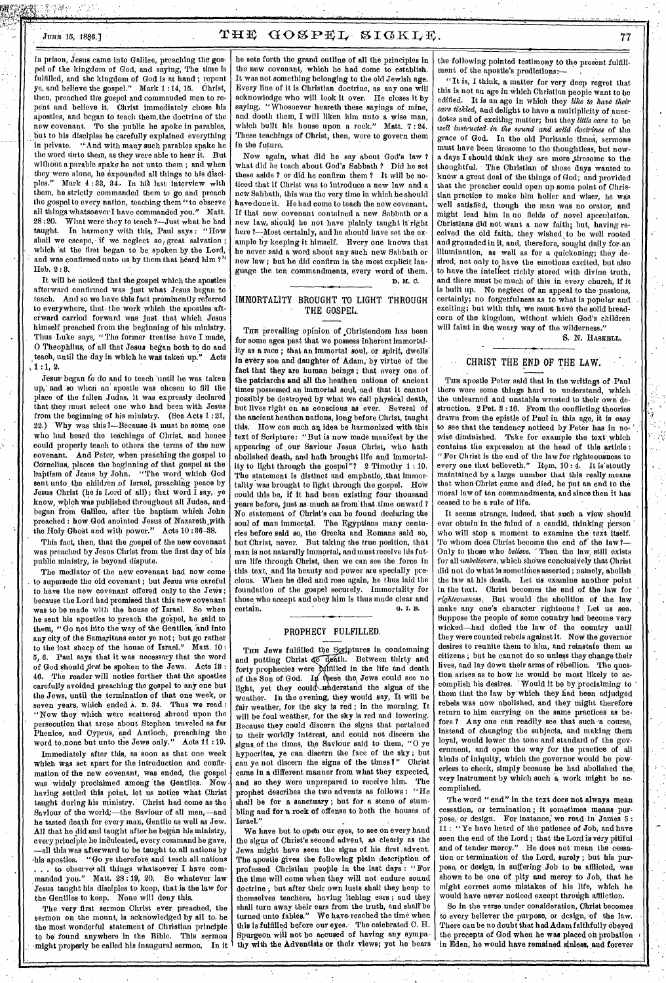AM S

還優興公

AN

# *JUNI6* 15, 1886.]  $\mathbf{THE}$   $\mathbf{GOSPEL}$   $\mathbf{SICKL}$ . 77

in prison,  $f$ esus came into Galilee, preaching the gospel of the kingdom of God, and saying; The time is fulfilled, and the kingdom of God is at hand; repent ye, and believe the gospel." Mark 1 :14, 15. Christ, then, preached the gospel and commanded men to repent and believe it. Christ immediately chose his apostles, and began to teach them.the doctrine of the new covenant. To the public he spoke in parables, but to his disciples he carefully explained everything in private.  $\ddot{u}$   $\hat{A}$ nd with many such parables spake he the word unto them, as they were able to hear it. But without a parable spake he not unto them; and when they were alone, he expounded all things to his disciples." Mark 4 :83, 34.. In hid last interview with ples." Mark 4:33, 34. In his last interview with them, he strictly commanded them to go and preach the gospel to every nation, teaching them "to observe all things whatsoever I have commanded you." Matt.  $28:20.$  What were they to teach ?—Just what he had taught. In harmony with this, Paul says: "How In harmony with this, Paul says: "How shall we escape, if we neglect so, great salvation which at the first began to be spoken by the Lord, and was confirmed unto us by them that heard him ?' Ileb. 2 : 8.

It will be noticed that the gospel which the apostles afterward confirmed was just what Jesus began to teach. ,And so we have this fact prominently referred to everywhere, that• the work which the apostles afterward carried forward was just that which Jesus himself preached from the beginning of his ministry. Thus Luke says, "The former treatise have I made, 0 Theophilus, of all that Jesus began both to do and teach, until the day in which he was taken up." Acts  $1:1, 2.$ 

Jesus• began to do and to teach 'until he was taken up, and so when an apostle was chosen to fill the place of the fallen Judas, it was expressly declared that they must select one who had been with Jesus from the beginning of his ministry. (See Acts 1 :21, 22.) Why was this ?- Because it must be some, one who had heard the teachings of Christ, and hence could properly teach to others the terms of the new covenant. And Peter, when preaching the gospel to Cornelius, places the beginning of that gospel at the baptism of Jesus by John. "The word which God sent unto the children of Israel, preaching peace by Jesus Christ (he is Lord of all); that word I say, ye know, which was published throughout all Judea, and began from Galilee, after the baptism which John preached : how God anointed Jesus of Nazareth with the Holy Ghost and with power." Acts 10:36-38.

This fact, then, that the gospel of the new covenant was preached by Jesus Christ from the first day of his public ministry, is beyond dispute.

The mediator 'of the new covenant had now come to supersede the old covenant; but Jesus was careful to have the new covenant offered only to the Jews because the Lord had promised that this new covenant was to be made with the house of Israel. So when he sent his apostles to preach the gospel, he said to' them, "Go not into the way of the Gentiles, and into any eity,of the Samaritans enter ye not; but go rather to the lost sheep of the house of Israel." Matt. 10 : 5, 6. Paul says that it was necessary that the word of God should *flint* be spoken to 'the Jews. Acts 18 : 46. The reader will notice further that the apostles carefully avoided preaching the gospel to any one but the Jews, until the termination of that one week, or seven years, which ended A. D. 34. Thus we read : "Now they which were scattered abroad upon the persecution that arose about Stephen traveled as far Phenice, and Cyprus, and Antioch, preaching the word to none but unto the Jews only." Acts 11:19.

Immediately after this, as soon as that one week which was set apart for the introduction and confirmation of the new covenant, was ended, the gospel was widely proclaimed among the Gentiles. having settled this point, let us notice what Christ taught during his ministry.' Christ had come as the Saviour of the world;—the Saviour of all men,—and he tasted death for every man, Gentile as well as Jew. All that he did and taught after he begin his ministry, every principle ho inculcated, every command he gave, —all this was afterward to be taught to all nations by his apostles. "Go ye therefore and teach all nations "Go ye therefore and teach all nations ... to observe all things whatsoever I have commanded you." Matt. 28 :19, 20. So whatever law Jesus taught his disciples to keep, that is the law for the Gentiles to keep. None will deny this.

The very first sermon Christ ever preached, the sermon on the mount, is acknowledged by all to. be the most wonderful statement of Christian principle to be' found anywhere in the Bible. This sermon -might properly be called his inaugural sermon. In it he sets forth the grand outline of all the principles in the new covenant, which he had come to establish. It was not something belonging to the old Jewish age. Every line of it is Christian doctrine, as any one will acknowledge who will look it over. He closes it by saying, "Whosoever heareth these sayings of mine, and doeth them, I will liken him unto a wise man, which built his house upon a rock." Matt. 7:24. These teachings of Christ, then, were to govern them in the future.

Now again, what did he say about God's law ? what did he teach about God's Sabbath ? Did he set these aside  $?$  or did he confirm them  $?$  It will be noticed that if Christ was to introduce a new law and a new Sabbath, this was the very time in which he should have done it. He had come to teach the new covenant. If that new covenant contained a new Sabbath or a new law, should he not have plainly taught it right here ?-- Most certainly, and he should have set the example by keeping it himself. Every one knows that he never said a word about any such new Sabbath or new law ; but he did confirm in the most explicit language the ten commandments, every word of them. D. M. 0.

# IMMORTALITY BROUGHT TO LIGHT. THROUGH THE GOSPEL.

THE prevailing opinion of Christendom has been for some ages past that we possess inherent immortality as a race ; that an immortal soul, or spirit, dwells" in every son and daughter of Adam, by virtue of the fact that they are human beings ; that every one of the patriarchs and all the heathen nations of ancient times possessed an immortal soul, and that it cannot possibly be destroyed by what we call physical death, but lives right on as conscious as ever. Several of the ancient heathen nations, long before Christ, taught How can such an idea be harmonized with this text of Scripture: "But is now made manifest by the appearing of our Saviour Jesus Christ, who hath abolished death, and hath brought life and immortality to light through the gospel"? 2 Timothy 1 : 10. The statement is distinct and emphatio, that immortality was brought to light through the gospel. How could this be, if it had been existing four thousand  $y$ ears before, just as much as from that time onward ? No statement of Christ's can be found declaring the soul of man immortal. The Egyptians many centuries before said so, the Greeks and Romans said so, but Christ, never. But taking the true position, that man is not naturally immortal, and must receive his future life through Christ, then we can *see* the force in this text, and its beauty and power are specially precious. When he died and rose again, he thus laid the foundation of the gospel securely. Immortality for those who accept and obey him is thus made clear and certain. G. I. B.

# PROPHECY FULFILLED.

THE Jews fulfilled the Scriptures in condemning and putting Christ do death. Between thirty and forty prophecies were of the Son of God. I light, yet they could whderstand the signs of the Weather. In the evening, they would say, It will be fair weather, for the sky is red ; in the morning, It will be foul weather, for the sky is red and lowering. Because they could discern the signs that pertained to their worldly interest, and could not discern the signs of the times, the Saviour said to them, "O ye hypocrites, ye can discern the face of the sky ; but can ye not discern the signs of the times ?" Christ came in a different manner from what they expected, and so they were unprepared to receive him. The prophet describes the two advents as fellows : "He shall be for a sanctuary; but for a stone of stumbling and for n rock of offense to both the houses of Israel." filled in the life and death ese the Jews could see no

We have but to open our eyes, to see on every hand the signs of Christ's second advent, as clearly as the Jews might have seen the signs of his first .advent. The apostle gives the following plain description of professed Christian people in the last days : "For the time will come when they will not endure sound doctrine , but after their own lusts shall they heap to themselves teachers, having itching ears ; and they shall turn away their ears from the truth, and shall be turned unto fables," We have reached the time when this is fulfilled before our eyes. The celebrated C. H. Spurgeon will not be accused of having any sympathy with the Adventists or their views; yet he bears

the following pointed testimony to the present fulfillment of the apostle's predictions:

"It is, I think, a matter for very deep regret that this is not an age in which Christian people want to be edified. It is an age in which they *like to have their ears tickled,* and delight to have a multiplicity of anecdotes and of exciting matter; but they *little care* to be *well instructed, in the sound and solid doctrines* of the grace of God. In the old Puritanic times, sermons must have been tiresome to the thoughtless, but nowa days I should think they are more tiresome to the thoughtful. The Christian of those days wanted to know a great deal of the things of God; and provided that the preacher could open up some point of Christian practice to make him holier and wiser, he was well satisfied, though the man was no orator, and might lead him in no fields of novel speculation. Christians did not want a new faith; but, having received the old faith, they wished to be well rooted and grounded in it, and, therefore, sought daily for an 'illumination, as well as for a quickening; they desired, not only to have the emotions excited, but also to have the intellect richly stored with divine truth, and there must be much of this in every church, if it is built up. No neglect of an appeal to the passions, certainly; no forgetfulness as to what is popular and exciting; but with this, we must have the solid breadcorn of the kingdom, without which God's children will faint in the weary way of the wilderness."

# S. N. HASKELL.

## CHRIST THE END OF THE LAW.

THE apostle Peter said that in the writings of Paul there were some things hard to understand, which the unlearned and unstable wrested to their own destruction. 2 Pet. 3 : 16. From the conflicting theories drawn from the epistle of Paul in this age, it is easy to see that the tendency noticed by Peter has in nowise diminished. Take for example the text which contains the expression at the head of this article : "For Christ is the end of the law for righteousness to every one that believeth." Rom. 10 : 4. It is stoutly maintained by a large number that this really means that when Christ came and died, he put an end to the moral law of ten commandments, and since then it has ceased to be a rule of life.

It seems strange, indeed, that such a view should ever obtain in the mind of a candid, thinking person who will stop a moment to examine the text itself. To whom does Christ become the end of the law ?—– Only to those who *believe. '* Then the law, still exists for all *unbelievers*, which shows conclusively that Christ did not do what is sometimes asserted ; namely, abolish the law at his death. Let us examine another point in the text. Christ becomes the end of the law for *righteousness.* But would the abolition of the law make any one's character righteous.? Let us see. Suppose the people of some country had become very wicked—had defied the law of the country until they were counted rebels against it. Now the governor desires to reunite them to him, and reinstate them as citizens ; but he cannot do so unless they change their lives, and lay down their arms of rebellion. The question arises as to how he would be most likely to accomplish his desires. `Would it be by proclaiming to  $\cdot$ them that the law by which they had been adjudged rebels was now abolished, and they might therefore return to him carrying on the same practices as before ? Any one can readily see that such a course, instead of changing the subjects, and making them loyal, would lower the tone and standard of the government, and open the way for the practice of all kinds of iniquity, which the governor would be powerless to check, simply because he had abolished the, very instrument by which such a work might be accomplished.

The word "end" in the text does not always mean cessation, or termination ; it sometimes means purpose, or design. For instance; we read in James 5 : 11 : "Ye have heard of the patience of Job, and have seen the end of the Lord ; that the Lord is very pitiful and of tender mercy." He does not mean the cessation or termination of the Lord, surely ; but his purpose, or design, in suffering Job to be afflicted, was shown to be one of pity and mercy to Job, that he might correct some mistakes of his life, which he would have never noticed except through affliction.

So in the verse under consideration, Christ becomes to every believer the purpose, or design, 'of the law. There can be no doubt that had Adam faithfully obeyed the precepts of God when he was placed on probation in Eden, he would have remained sinless, and forever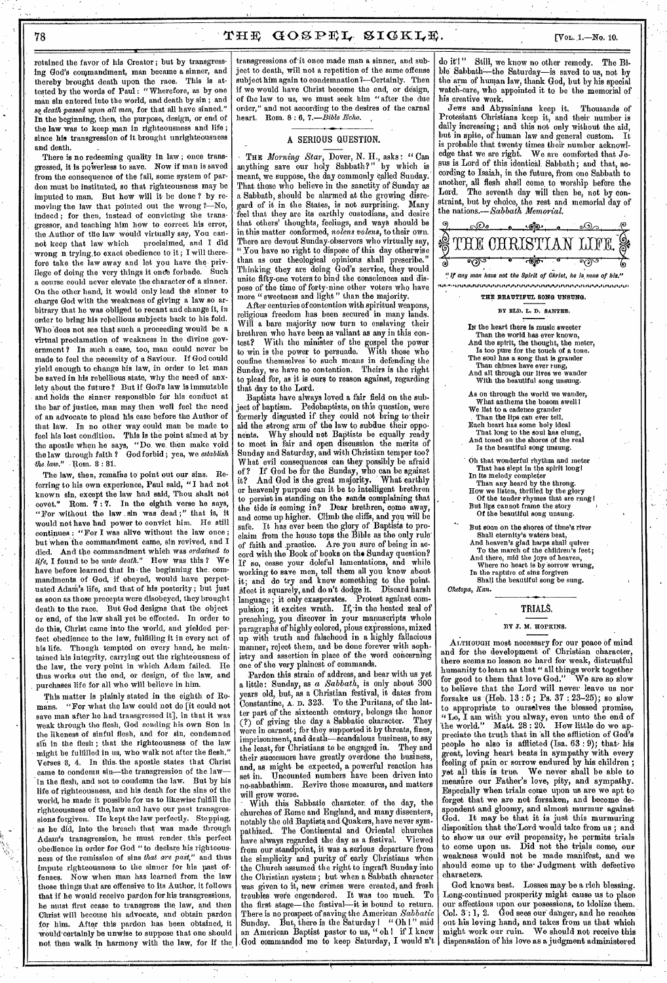# 78 THE GOSPEL SIGKLE.  $V_{0L, 1, -N_0, 10}$

retained the favor of his Creator ; but by transgressing God's commandment, man became a sinner, and thereby brought death upon the race. This is attested by the words of Paul : "Wherefore, as by one man sin entered into the world, and death by sin ; and *80 death passed upon all men,* for that all have sinned." In the beginning, then, the purpose, design, or end of the law was to keep man in righteousness and life; since his transgression of it brought unrighteousness and death.

There is no redeeming quality in law; once transgressed, it Is powerless to save. Now if man is saved from the consequence of the fall, some system of pardon must be instituted, so that righteousness may be imputed to man. But how will it be done ? by removing the law that pointed out the wrong ?—No, indeed ; for then, instead of convicting the trans- . gressor, and teaching him how to correct his error, the Author of the law would virtually say, You can-<br>not keep that law which proclaimed, and I did not keep that law which wrong n trying to exact obedience to it; I will therefore take the law away and let you have the priv-<br>ilogo of doing the yery things it once forbade. Such ilege of doing the very things it once forbade. a course could never elevate the character of a sinner. On the other hand, it would only lead the sinner to charge God with the weakness of giving a law so arbitrary that he was obliged to recant and change it, in order to bring his rebellious subjects back to his fold. Who-does not see that such a proceeding would be a virtual proclamation of weakness in the divine government ? In such a case, too, man could never be made to feel the necessity of a Saviour. If God could yield enough to change his law, in order to let man be saved in his rebellious state, why the need of anxiety about the future ? But if God's law is immutable and holds the sinner responsible for his conduct at the bar of justice, man may then well feel the need of an advocate to plead his case before the Author of that law. In no other way could man be made to feel his lost condition. This is the point aimed at by the apostle when he says, "Do. we. then -make void the law through faith ? God forbid ; yea, we *establish the. law.*" • Rom.  $3:31$ .

The law, then, remains to point out our sins. Referring to his own experience, Paul said, "I bad not known sin, except the law had said, Thou shalt not covet." Rom.  $\tilde{\gamma}$ : 7. In the eighth verse he says, covet." Rom. 7:7. In the eighth verse he says,<br>"For without the law sin was dead;" that is, it would not have had power to convict him. He still continues: "For I was alive without the law once ; but when the commandment came, sin revived, and I died. And the commandment which was *ordained to life,* I found to be *unto death."* How was this ? We have before learned that in • the beginning the. commandments of God, if obeyed, would have perpetuated Adam's life, and that of his posterity; but just as soon as those precepts were disobeyed, they brought death to the race. But God designs that the object or 'end, of the law shall yet be effected. In order to do this, Christ came into the world, and yielded perfect obedience to the law, fulfilling it in every act of his life. Though tempted on every hand, he main-Though tempted on every hand, he maintained his integrity, carrying out the rightebusness of the law, the very point in which Adam failed. He thus works out the end, or design, of the law, and thus works out the end, or design, of the law, purchases life for all who will believe in him.

This matter is plainly stated in the eighth of Romans. "For what the law could not do [it could not save man after he had transgressed it], in that it was weak through the flesh, God sending his own Son in the likeness of sinful flesh, and for sin, condemned sin in the flesh; that the righteousness of the law might be fulfilled in us, who walk not after the flesh." Verses 3, 4. In this the apostle states that Christ came to condemn sin-the transgression of the lawin the flesh, and not to condemn the law. But by his life of righteousness, and his death for the sins of the world, he made it possible for us to likewise fulfill the righteousness of the, law and have our past transgressions forgiven. Tie kept the law perfectly. Stepping, as he did, into the breach that was made through Adam's transgression, he must render , this perfect obedience in order for God "to declare his righteousness of the remission of sins *that are pail,"* and thus impute righteousness to the sinner for his past offenses. Now when man has learned from the law those things that are offensive to its Author, it follows that if he would receive pardon for his transgressions, he must first cease to transgress the law, and then Christ will become his advocate, and obtain pardon for him. After this pardon has been obtained, it .would-certainly be unwise to suppose that ono should not then walk in harmony with the law, for if the

transgressions of it once made man a sinner, and subject to death, will not a repetition of the same offense subject him again to condemnation ?—Certainly. Then if we would have Christ become the end, or design, of the law to us, we must seek him "after the due order," and not according to the desires of the carnal heart. Rom. 8 : 6, *7.—Bible Echo.* 

#### A SERIOUS QUESTION.

• THE *Morning Star,* Dover, N. H., asks : " Can anything save our holy Sabbath?" by which is meant, we suppose, the day commonly called Sunday. That those who believe in the sanctity of Sunday as a Sabbath, should be alarmed at the growing disre-<br>card of it in the States, is not surprising. Many gard of it in the States, is not surprising. Many feel that they are its earthly custodians, and desire that others' thoughts, feelings, and ways should be in this matter conformed, *nolens volens,* to their own. There are devout Sunday-observers who virtually say, You have no right to dispose of this day otherwise than as our theological opinions shall prescribe." Thinking they are doing God's service, they would unite fifty-one voters to bind the consciences and dispose of the time of forty-nine other voters who have more "sweetness and light" than the majority.

After centuries of contention with spiritual weapons, religious freedom has been secured in many lands. Will a bare majority now turn to enslaving their brethren who have beep as valiant as any in this contest? With the minister of the gospel the power to win is the power to persuade. With those who confine themselves to such means in defending the Sunday, we have no contention. Theirs is the right to plead for, as it is ours to reason against, regarding that day to the Lord.

Baptists have always loved a fair field on the sub-<br>ject of baptism. Pedobaptists, on this question, were Pedobaptists, on this question, were formerly disgusted if they could not bring to-their aid the strong arm of the law to subdue their opponents. Why should not Baptists be equally ready to meet in fair and open discussion the merits of Sunday and Saturday, and with Christian temper too? What evil consequences can they possibly be afraid of'? If God be for the Sunday, who can be against it? And God is the great majority. What earthly or heavenly purpose can it be to intelligent brethren to persist in standing on the sands complaining that the tide is coming in? Dear brethren, come away, and come up higher. Climb the cliffs, and you will be safe. It has ever been the glory of Baptists to proclaim from the house tops the Bible as the only rule' of faith and practice. Are you sure of being in accord with the Book of books on the Sunday question? If so, cease your doleful lamentations, and while working to save men, tell them all you know about it; and do try and know something to the point. Meet it squarely, and do n't dodge it. Discard harsh language; it only exasperates. Protest against compulsion; it excites wrath. If,•in the heated zeal of preaching, you discover in your manuscripts whole paragraphs of highly colored, pious expressions, mixed up with truth and falsehood in a highly fallacious manner, reject them, and be done forever with sophistry and assertion in place of the word concerning one of the very plainest of commands.

Pardon this strain of address, and bear with us yet a little: Sunday, as a *Sabbath,* is only about 300 years old, but, as a Christian festival, it dates from Constantine, A. D. 323: To the Puritans, of the latter part of the sixteenth century, belongs the honor (?) of giving the day a Sabbatic character. They were in earnest; for they supported it by threats, fines, imprisonment, and death—scandalous business, to say the least, for 'Christians to be engaged in. They and their successors have greatly overdone the business, and, as might be expected, a powerful reaction has set in. Uncounted numbers have been driven into no-sabbathism. Revive those measures, and matters

will grow worse.<br>With this Sabbatic character, of the day, the churches of Rome and England, and many dissenters, notably the old Baptists and Quakers, have never sympathized.. The Continental and Oriental churches<br>have always regarded the day as a festival. Viewed have always regarded the day as a festival. from our standpoint, it was a serious departure from the simplicity and purity of early Christians when the Church assumed the right to ingraft Sunday into the Christian system ; but when a Sabbath character was given to it, new crimes were created, and fresh troubles were engendered. It was too much. To the first stage—the festival—it is bound to return. There is no prospect of saving the American *Sabbatie*  Sunday. But, there is the Saturday ! " Oh 1" said an American Baptist pastor to us, " oh i if I knew .God commanded me to keep Saturday, I would n't

do it!" Still, we know no other remedy. The Bible Sabbath---the Saturday—is saved to us, not by the arm of human law, thank God, but by his special watch-care, who appointed it to be the memorial of his creative work.

Jews and Abyssinians keep it. Thousands of Protestant Christians keep it, and their number is daily increasing; and this not only without the aid, but in spite, of human law and general custom. It is probable that twenty times their number acknowledge that we are right. We are comforted that Jesus is Lord of this identical. Sabbath; and that, according to Isaiah, in the future, from one Sabbath to another, all flesh shall come, to worship before the Lord. The seventh day will then be, not by constraint, but by choice, the rest and memorial day of the nations.—Sabbath *Memorial.* 



Ix the heart there **18 music** sweeter Than the world has ever known, And the spirit, the thought, the meter, Is too pure for the touch of a tone. The soul has a song that **is** grander Than chimes have ever rung, And all through our lives we wander And all through our lives we wand

As on through the world we wander, What anthems the bosom swell! We list to a cadence grander . Than the lips can ever tell. Each heart has some holy ideal That long to the soul has clung, And toned on the shores of the real

Is the beautiful song unsung. Oh that wonderful rhythm and meter

That has slept in the spirit long! In its melody completer Than any heard by the throng.

How we listen, thrilled by the glory Of the tender•rhymes that are rung! But lips cannot frame the story

Of the beautiful song unsung. But soon on the shores of time's river

Shall eternity's waters beat,<br>And heaven's glad harps shall quiver<br>To the march of the children's feet;<br>And there, mid the joys of heaven,<br>Where no heart is by sorrow wrung,<br>In the rapture of sins forgiven<br>Shall the beauti

*Ohetopa, Kan.* 

## TRIALS.

#### BY J. M. HOPKINS.

ALTHOUGH most necessary for our peace of mind and for the development of Christian character, there seems no lesson so hard for weak, distrustful humanity to learn as that " all things work together<br>for good to them that love God." We are so slow for good to them that love God." to believe that the Lord will never leave us nor forsake us (Heb.  $13:5$ ; Ps.  $37:23-25$ ); so slow<br>to appropriate to ourselves the blessed promise, to appropriate to ourselves the blessed Lo, I am with you alway, even unto the end of the world." Matt. 28 : 20. How little do we appreciate the truth that in all the affliction of God's people he also is afflicted (Isa.  $63:9$ ); that his great, loving heart beats in sympathy with every feeling of pain or sorrow endured by his children ; yet all this is true. We never shall be able to measure our Father's love, pity, and sympathy. Especially when trials come upon us are we apt to forget that we are not forsaken, and become despondent and gloomy, and almost murmur against God. It may be that it is just this murmuring disposition that the'Lord would take from us ; and to show us our evil propensity, he permits trials to come upon us. Did not the trials come, our weakness would not be made manifest, and we should come up to the Judgment with defective characters.

God knows best. Losses may be a rich blessing. Long-continued prosperity might cause us to place our affections upon our posessions, to idolize them. Col. 3-: 1, 2. God sees our danger, and he reaches out his loving hand, and takes from us that which might work our ruin. We should not receive this dispensation of his love as a judgment administered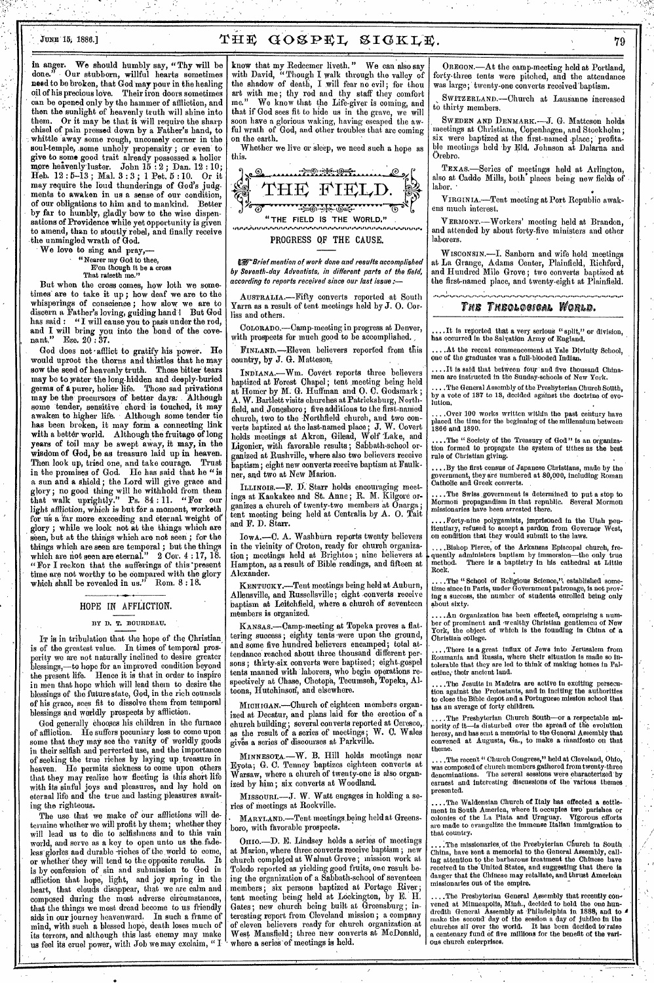# JUNE 15, 1886.]  $\text{THE} \quad \text{GOSPEL} \quad \text{SIGKLE}.$  79

in anger. We should humbly say, " Thy will be done." Our stubborn, willful hearts sometimes need to be broken, that God may pour in the healing oil of his precious love. Their iron doors sometimes can be opened only by the hammer of affliction, and then the sunlight of heavenly truth will shine into<br>them. Or it may be that it will require the sharp Or it may be that it will require the sharp chisel of pain pressed down by a Father's hand, to whittle away some rough, uncomely corner in the soul-temple, some unholy propensity ; or even to give to some good trait already possessed a holier more heavenly luster. John  $15:2$ ; Dan.  $12:10$ ; Heb. 12 : 5-13 ; Mal. 3 : 3 ; 1 Pet. 6 : 10. Or it may require the loud thunderings of God's judgments to awaken in us a sense of our condition, of our obligations to him and to mankind. Better by far to humbly, gladly bow to the wise dispensations of Providence while yet opportunity is given to amend, than to stoutly rebel, and finally receive the unmingled wrath of God.

We love to sing and pray, - "Nearer my God to thee,

E'en though it be a cross That raiseth me."

But when the cross comes, how loth we sometimes are to take it up; how deaf we are to the whisperings of conscience ; how slow we are to discern a Father's loving, guiding hand I But God has said : " I will cause you to pass under the rod, and I will bring you into the bond of the cove- , nant." Eze.  $20^{\circ}$ : 37.

God does not 'afflict to gratify his power. He would uproot the thorns and thistles that he may sow the seed of heavenly truth. Those bitter tears may be to water the long-hidden and deeply-buried germs of a purer, holier life. Those sad privations may be the precursors of better days; Although some tender, sensitive chord is touched, it may awaken to higher life. Although some tender tie has been broken, it may form a connecting link with a better world. Although the fruitage of long years of toil may be swept away, it may, in the wisdom of God, be as treasure laid up in heaven. Then look up, tried one, and take courage.<br>in the promises of God. He has said that He has said that he "is a sun and a shield ; the Lord will give grace and glory; no good thing will he withhold from them that walk uprightly." Ps. 84 : 11. "For our light *affliction,* which is but for a moment, worketh for us a far more exceeding and eternal weight of glory ; while we look not at the things which are seen, but at the things which are not seen; for the things which are seen are temporal ; but the things which are not seen are eternal."  $2 \text{ Cor. } 4:17, 18.$ "For I reckon that the sufferings of this present time are not worthy to be compared with the glory which shall be revealed in us." Rom. 8:18.

### HOPE IN AFFLICTION.

### BY D. T. BOURDEAU.

IT is in tribulation that the hope of the Christian is of the greatest value. In times of temporal prosperity we are not naturally inclined to desire greater blessings,—to hope for an improved condition beyond the present life. Hence it is that in order to inspire in men that hope which will lead them to desire the blessings of the future state, God, in the rich counsels of his grace, sees fit to dissolve them from temporal blessings and worldly prospects by affliction.

God generally chooses his children in the furnace of affliction. He suffers pecuniary loss to come upon some that they may see the vanity of worldly goods in their selfish and perverted use, and the importance of seeking the true riches by laying up treasure in heaven. He permits sickness to come upon others that they may realize how fleeting is this short life with its sinful joys and pleasures, and lay hold on eternal life and the true and lasting pleasures awaiting the righteous.

The use that we make of our afflictions will determine whether we will profit by them; whether they will lead us to die to selfishness and to this vain world, and serve as a key to open unto us the,fadeless glories and durable riches of the world to come, or whether' they will tend to the opposite results. It is by confession of sin and submission to God in affliction that hope, light, and joy spring in the heart, that clouds disappear, that we are calm and composed during the most adverse circumstances, that the things we most dread become to us friendly aids in our journey heavenward. In such a frame of mind, with such a blessed hope, death loses much of its terrors, and although this last enemy may make us feel its cruel power, with Job we may exclaim, "I

know that my Redeemer liveth. " We can also say with David, "Though I walk through the valley of the shadow of death, I will fear no evil ; for thou art with me ; thy rod and thy staff they comfort me." We know that the Life-giver is coming, and that if God sees fit to hide us in the grave, we will soon have a glorious waking, having escaped the awful wrath of God, and other troubles that are coming on the earth.

Whether we live or sleep, we need such a hope as this.



fArBrief mention of work done and results accomplished by Seventh-day Adventists, in different parts of the field, according to reports received since our last issue :—

AUSTRALIA.—Fifty converts reported at South Yarra as a result of tent meetings held by J. 0. Corliss and others.

COLORADO.—Camp-meeting in progress at Denver, with prospects for much good to be accomplished. ,

FINLAND.—Eleven believers reported from this country, by J. G. Matteson.

INDIANA.—Wm. Covert reports three believers baptized at Forest Chapel; tent meeting being held at Homer by M. G. Huffman and 0. C. Godsmark ; A. W. Bartlett visits churches at Patricksburg, Northfield, and. Jonesboro; five additions to the first-named church, two to the Northfield church, and two converts baptized at the last-named place ; J. W. Covert holds meetings at Akron, Gilead, Wolf 'Lake, and Ligonier, with favorable results; Sabbath-school organized at Rushville, where also two believers receive baptism; eight new converts receive baptism at Faulkner, and two at New Marion.

ILLINOIS.—F. D. Starr holds encouraging meetings at Kankakee and St. Anne ; R. M. Kilgore organizes a church of twenty-two members at Onarga tent meeting being held at Centralia by A. 0. Tait and F. D. Starr.

IOWA.—C. A. Washburn reports twenty believers in the vicinity of Croton, ready for church organization; meetings held at Brighton; nine believers at Hampton, as a result of Bible readings, and fifteen at Alexander.

KENTUCKY.—Tent meetings being held at Auburn, Allensville, and Russellsville; eight converts receive baptism at Leitchfield, where a church of seventeen members is organized.

KANSAS.—Camp-meeting at Topeka proves a flattering success; eighty tents were upon the ground, and some five hundred believers encamped; total attendance reached about three thousand different persons; thirty-six converts were baptized; eight.gospel tents manned with laborers, who begin operations respectively at Chase, Chetoph, Tecumseh, Topeka, Altoona, Hutchinson, and elsewhere.

MICHIGAN.—Church of eighteen members organized at Decatur, and plans laid for the erection of a church building; several converts reported at Ceresco, as the result of a series of meetings; W. C. Wales gives a series of discourses at Parkville.

MINNESOTA.—W. B. Hill holds meetings near Eyota; G. C. Tenney baptizes eighteen converts at Warsaw, where a church of twenty-one is also organized by him ; six converts at Woodland.

MISSOURI.—J. W. Watt engages in holding a series of meetings at Rockville.

• MARYLAND.—Tent meetings being held at Greensboro, with favorable prospects.

OHIO.—D. E. Lindsey holds a series of meetings at Marion, where three converts receive baptism ; new church completed at Walnut Grove ; mission work at Toledo reported as yielding good fruits, one result being the organization of a Sabbath-school of seventeen members ; six persons baptized at Portage River ; tent meeting being held at Lockington, by E. H. Gates; new church being built at Greensburg; interesting report from Cleveland mission ; a company of eleven believers ready for church organization at West Mansfield; three new converts at McDonald, where a series of meetings is held.

OREGON.—At the camp-meeting held at Portland, forty-three tents were pitched, and the attendance was large; twenty-one converts received' baptism.

SWITZERLAND.—Church at Lausanne increased to thirty members.

thirty members.<br>SwEDEN AND DENMARK.—J. G. Matteson holds meetings at Christiana, Copenhagen, and Stockholm; six were baptized at the first-named place; profitable meetings held •by Eld, Johnson at Dalarna and Orebro.

TEXAS.—Series of meetings held at Arlington, also at Caddo Mills, both' places being new fields of labor.

VIRGINIA.—Tent meeting at Port Republic awakens much interest.

VERMONT.—Workers' meeting held at Brandon, and attended by about forty-five ministers and other laborers.

WISCONSIN.—I. Sanborn and wife hold meetings at La Grange, Adams Center, Plainfield, Richford, and Hundred Mile Grove; two converts baptized at the first-named place, and twenty-eight at Plainfield.

# Ties *THBOLOONCiti. WW* &i.

....It is reported that a very serious "split," or division, has occurred in the Salvation Army of England.

..At the recent commencement at Yale Divinity School, one of the graduates was a full-blooded Indian.

....It is said that between four and five thousand Chinamen are instructed in the Sunday-schools of New York.

. The General Assembly of the Presbyterian Church South, by a vote of 137 to 18, decided against the doctrine of evolution.

....Over 100 works written within the past century have placed the time for the beginning of the millennium between 1866 and 1890.

..The "Society of the Treasury of God" is an organization formed to propagate the system of tithes as the best rule of Christian giving.

....By the first census of Japanese Christians, made by the government, they are numbered at 80,000, including Roman Catholic and Greek converts.

....The Swiss government is determined to put a stop to Mormon propagandism in that republic. Several Mormon missionaries have been arrested there.

....Forty-nine polygamists, imprisoned in the Utah penitentiary, refused to accept a pardon from Governor West, on condition that they would submit to the laws.

.Bishop Pierce, of the Arkansas Episcopal church, fre-. quently administers baptism by immersion—the only true method. There is a baptistry in his cathedral at Little Rock.

....The "School of Religious Science,". established some-time since in Paris, under Government patronage, is not prov: ing a success, the number of students enrolled being only about sixty.

....An organization has been effected, comprising a num-ber of prominent and wealthy Christian gentlemen of New York, the object of which is the founding in China of a Christian college.

....There is a great influx of Jews into Jerusalem from Roumania and Russia, where their situation is made so in-tolerable that they are led to think of making homes in Palestine, their ancient land.

....The Jesuits in Madeira are active in exciting persecution against the Protestants, and in inciting the authorities<br>to close the Bible depot and a Portuguese mission school that has an average of forty children.

....The Presbyterian Church South—or a respectable minority of it—is disturbed over the spread of the evoltftion heresy, and has sent a memorial to the General Assembly that convened at Augusta, Ga., to make a manifesto on that theme.

The recent " Church Congress," held at Cleveland, Ohio. was composed of church congress," held at Cleveland, Omo, was composed of church members gathered from twenty-three denominations. The several sessions were characterized by earnest and interesting discussions of the various themes presented.

....The Waldensian Church of Italy has effected a settlement in South America, where it occupies two parishes or colonies of the La Plata and Uruguay. Vigorous efforts are made to evangelize the immense Italian immigration to that country.

...The missionaries of the Presbyterian Church in South [[]<br>China, have sent a memorial to the General Assembly, call-<br>ing attention to the barbarous treatment the Chinese have received in the United States, and suggesting that there is danger that the Chinese may retaliate, and thrust American missionaries out of the empire.

....The Presbyterian General Assembly that recently convened at Minneapolis, Mind., decided to bold the ono hun- ' dredth General Assembly at Philadelphia in 1888, and to *I*  make the second day of the session a day of jubilee in the churches all over the world. It has been decided to' raise a centenary fund of live millions for the benefit of the various church enterprises.